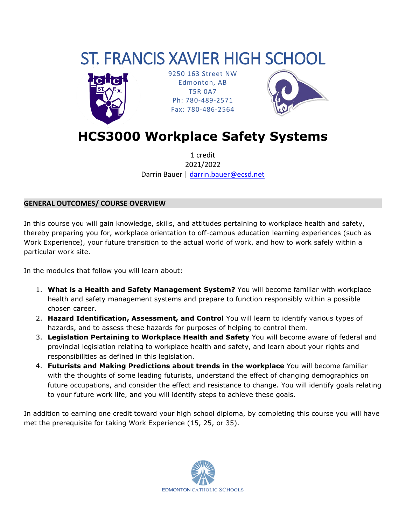# ST. FRANCIS XAVIER HIGH SCHOOL



9250 163 Street NW Edmonton, AB T5R 0A7 Ph: 780-489-2571 Fax: 780-486-2564



**HCS3000 Workplace Safety Systems**

1 credit 2021/2022 Darrin Bauer | [darrin.bauer@ecsd.net](mailto:darrin.bauer@ecsd.net)

## **GENERAL OUTCOMES/ COURSE OVERVIEW**

In this course you will gain knowledge, skills, and attitudes pertaining to workplace health and safety, thereby preparing you for, workplace orientation to off-campus education learning experiences (such as Work Experience), your future transition to the actual world of work, and how to work safely within a particular work site.

In the modules that follow you will learn about:

- 1. **What is a Health and Safety Management System?** You will become familiar with workplace health and safety management systems and prepare to function responsibly within a possible chosen career.
- 2. **Hazard Identification, Assessment, and Control** You will learn to identify various types of hazards, and to assess these hazards for purposes of helping to control them.
- 3. **Legislation Pertaining to Workplace Health and Safety** You will become aware of federal and provincial legislation relating to workplace health and safety, and learn about your rights and responsibilities as defined in this legislation.
- 4. **Futurists and Making Predictions about trends in the workplace** You will become familiar with the thoughts of some leading futurists, understand the effect of changing demographics on future occupations, and consider the effect and resistance to change. You will identify goals relating to your future work life, and you will identify steps to achieve these goals.

In addition to earning one credit toward your high school diploma, by completing this course you will have met the prerequisite for taking Work Experience (15, 25, or 35).

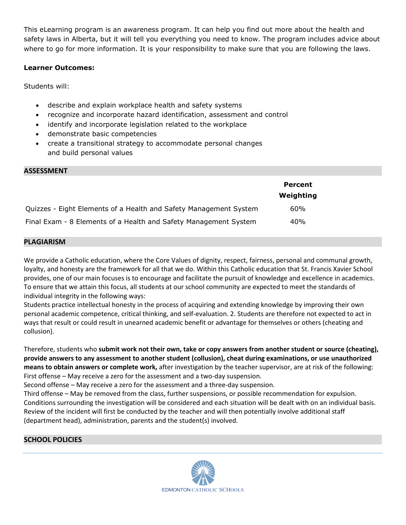This eLearning program is an awareness program. It can help you find out more about the health and safety laws in Alberta, but it will tell you everything you need to know. The program includes advice about where to go for more information. It is your responsibility to make sure that you are following the laws.

## **Learner Outcomes:**

Students will:

- describe and explain workplace health and safety systems
- recognize and incorporate hazard identification, assessment and control
- identify and incorporate legislation related to the workplace
- demonstrate basic competencies
- create a transitional strategy to accommodate personal changes and build personal values

#### **ASSESSMENT**

|                                                                   | Percent<br>Weighting |
|-------------------------------------------------------------------|----------------------|
| Quizzes - Eight Elements of a Health and Safety Management System | 60%                  |
| Final Exam - 8 Elements of a Health and Safety Management System  | 40%                  |

#### **PLAGIARISM**

We provide a Catholic education, where the Core Values of dignity, respect, fairness, personal and communal growth, loyalty, and honesty are the framework for all that we do. Within this Catholic education that St. Francis Xavier School provides, one of our main focuses is to encourage and facilitate the pursuit of knowledge and excellence in academics. To ensure that we attain this focus, all students at our school community are expected to meet the standards of individual integrity in the following ways:

Students practice intellectual honesty in the process of acquiring and extending knowledge by improving their own personal academic competence, critical thinking, and self-evaluation. 2. Students are therefore not expected to act in ways that result or could result in unearned academic benefit or advantage for themselves or others (cheating and collusion).

Therefore, students who **submit work not their own, take or copy answers from another student or source (cheating), provide answers to any assessment to another student (collusion), cheat during examinations, or use unauthorized means to obtain answers or complete work,** after investigation by the teacher supervisor, are at risk of the following: First offense – May receive a zero for the assessment and a two-day suspension.

Second offense – May receive a zero for the assessment and a three-day suspension.

Third offense – May be removed from the class, further suspensions, or possible recommendation for expulsion. Conditions surrounding the investigation will be considered and each situation will be dealt with on an individual basis. Review of the incident will first be conducted by the teacher and will then potentially involve additional staff (department head), administration, parents and the student(s) involved.

## **SCHOOL POLICIES**